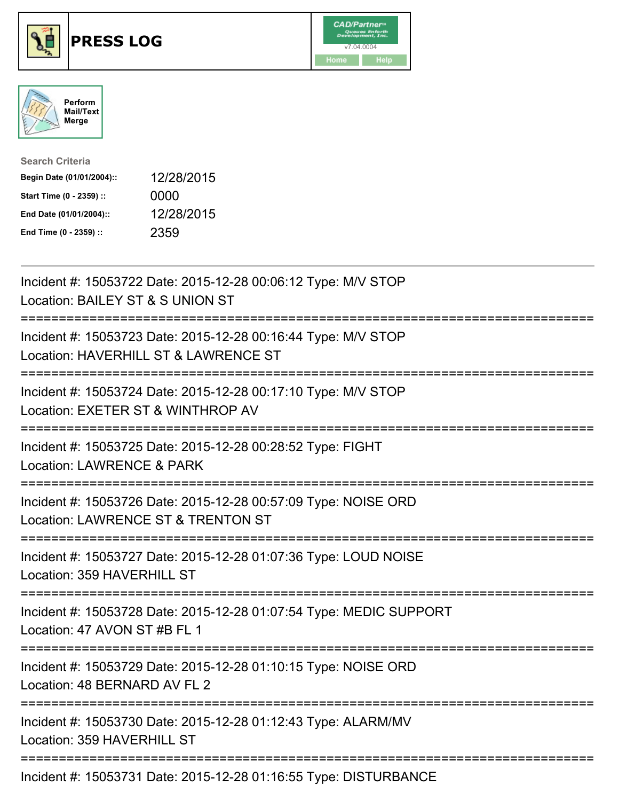





| <b>Search Criteria</b>    |            |
|---------------------------|------------|
| Begin Date (01/01/2004):: | 12/28/2015 |
| Start Time (0 - 2359) ::  | 0000       |
| End Date (01/01/2004)::   | 12/28/2015 |
| End Time (0 - 2359) ::    | 2359       |

| Incident #: 15053722 Date: 2015-12-28 00:06:12 Type: M/V STOP<br>Location: BAILEY ST & S UNION ST                                                            |
|--------------------------------------------------------------------------------------------------------------------------------------------------------------|
| Incident #: 15053723 Date: 2015-12-28 00:16:44 Type: M/V STOP<br>Location: HAVERHILL ST & LAWRENCE ST                                                        |
| Incident #: 15053724 Date: 2015-12-28 00:17:10 Type: M/V STOP<br>Location: EXETER ST & WINTHROP AV<br>;========================                              |
| Incident #: 15053725 Date: 2015-12-28 00:28:52 Type: FIGHT<br>Location: LAWRENCE & PARK                                                                      |
| Incident #: 15053726 Date: 2015-12-28 00:57:09 Type: NOISE ORD<br>Location: LAWRENCE ST & TRENTON ST<br>===========================                          |
| Incident #: 15053727 Date: 2015-12-28 01:07:36 Type: LOUD NOISE<br>Location: 359 HAVERHILL ST<br>---------------------                                       |
| Incident #: 15053728 Date: 2015-12-28 01:07:54 Type: MEDIC SUPPORT<br>Location: 47 AVON ST #B FL 1                                                           |
| -----------------------<br>Incident #: 15053729 Date: 2015-12-28 01:10:15 Type: NOISE ORD<br>Location: 48 BERNARD AV FL 2                                    |
| ========================<br>---------------------------------<br>Incident #: 15053730 Date: 2015-12-28 01:12:43 Type: ALARM/MV<br>Location: 359 HAVERHILL ST |
| Incident #: 15053731 Date: 2015-12-28 01:16:55 Type: DISTURBANCE                                                                                             |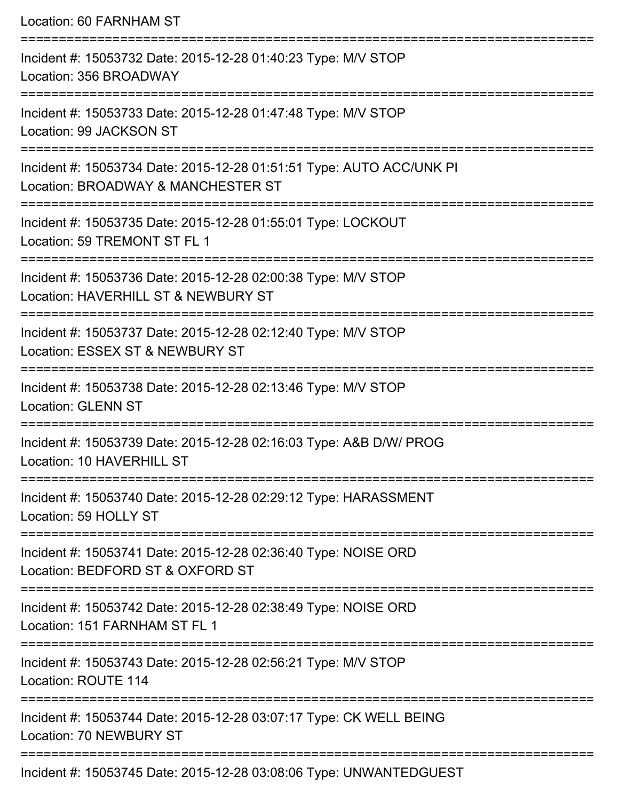Location: 60 FARNHAM ST =========================================================================== Incident #: 15053732 Date: 2015-12-28 01:40:23 Type: M/V STOP Location: 356 BROADWAY =========================================================================== Incident #: 15053733 Date: 2015-12-28 01:47:48 Type: M/V STOP Location: 99 JACKSON ST =========================================================================== Incident #: 15053734 Date: 2015-12-28 01:51:51 Type: AUTO ACC/UNK PI Location: BROADWAY & MANCHESTER ST =========================================================================== Incident #: 15053735 Date: 2015-12-28 01:55:01 Type: LOCKOUT Location: 59 TREMONT ST FL 1 =========================================================================== Incident #: 15053736 Date: 2015-12-28 02:00:38 Type: M/V STOP Location: HAVERHILL ST & NEWBURY ST =========================================================================== Incident #: 15053737 Date: 2015-12-28 02:12:40 Type: M/V STOP Location: ESSEX ST & NEWBURY ST =========================================================================== Incident #: 15053738 Date: 2015-12-28 02:13:46 Type: M/V STOP Location: GLENN ST =========================================================================== Incident #: 15053739 Date: 2015-12-28 02:16:03 Type: A&B D/W/ PROG Location: 10 HAVERHILL ST =========================================================================== Incident #: 15053740 Date: 2015-12-28 02:29:12 Type: HARASSMENT Location: 59 HOLLY ST =========================================================================== Incident #: 15053741 Date: 2015-12-28 02:36:40 Type: NOISE ORD Location: BEDFORD ST & OXFORD ST =========================================================================== Incident #: 15053742 Date: 2015-12-28 02:38:49 Type: NOISE ORD Location: 151 FARNHAM ST FL 1 =========================================================================== Incident #: 15053743 Date: 2015-12-28 02:56:21 Type: M/V STOP Location: ROUTE 114 =========================================================================== Incident #: 15053744 Date: 2015-12-28 03:07:17 Type: CK WELL BEING Location: 70 NEWBURY ST ===========================================================================

Incident #: 15053745 Date: 2015-12-28 03:08:06 Type: UNWANTEDGUEST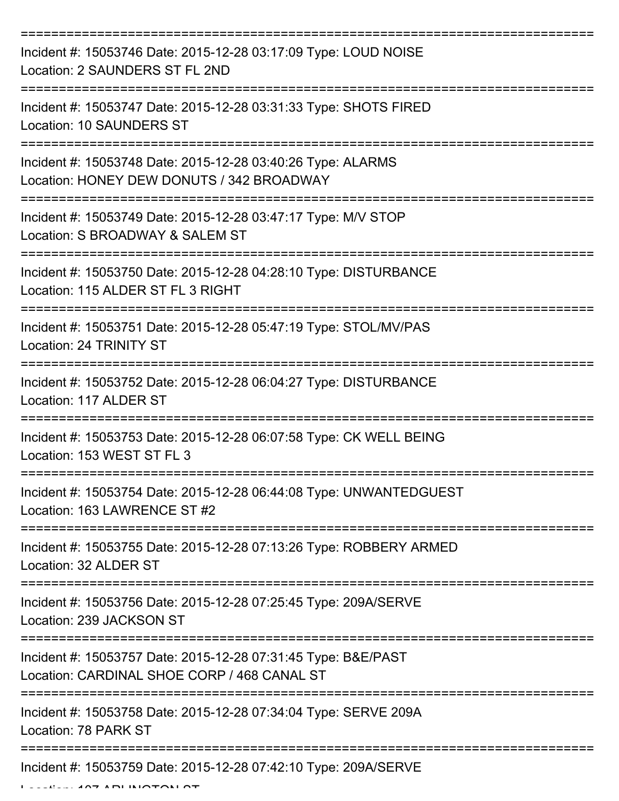| Incident #: 15053746 Date: 2015-12-28 03:17:09 Type: LOUD NOISE<br>Location: 2 SAUNDERS ST FL 2ND            |
|--------------------------------------------------------------------------------------------------------------|
| Incident #: 15053747 Date: 2015-12-28 03:31:33 Type: SHOTS FIRED<br><b>Location: 10 SAUNDERS ST</b>          |
| Incident #: 15053748 Date: 2015-12-28 03:40:26 Type: ALARMS<br>Location: HONEY DEW DONUTS / 342 BROADWAY     |
| Incident #: 15053749 Date: 2015-12-28 03:47:17 Type: M/V STOP<br>Location: S BROADWAY & SALEM ST             |
| Incident #: 15053750 Date: 2015-12-28 04:28:10 Type: DISTURBANCE<br>Location: 115 ALDER ST FL 3 RIGHT        |
| Incident #: 15053751 Date: 2015-12-28 05:47:19 Type: STOL/MV/PAS<br>Location: 24 TRINITY ST                  |
| Incident #: 15053752 Date: 2015-12-28 06:04:27 Type: DISTURBANCE<br>Location: 117 ALDER ST                   |
| Incident #: 15053753 Date: 2015-12-28 06:07:58 Type: CK WELL BEING<br>Location: 153 WEST ST FL 3             |
| Incident #: 15053754 Date: 2015-12-28 06:44:08 Type: UNWANTEDGUEST<br>Location: 163 LAWRENCE ST #2           |
| Incident #: 15053755 Date: 2015-12-28 07:13:26 Type: ROBBERY ARMED<br>Location: 32 ALDER ST                  |
| Incident #: 15053756 Date: 2015-12-28 07:25:45 Type: 209A/SERVE<br>Location: 239 JACKSON ST                  |
| Incident #: 15053757 Date: 2015-12-28 07:31:45 Type: B&E/PAST<br>Location: CARDINAL SHOE CORP / 468 CANAL ST |
| Incident #: 15053758 Date: 2015-12-28 07:34:04 Type: SERVE 209A<br>Location: 78 PARK ST                      |
| Incident #: 15053759 Date: 2015-12-28 07:42:10 Type: 209A/SERVE                                              |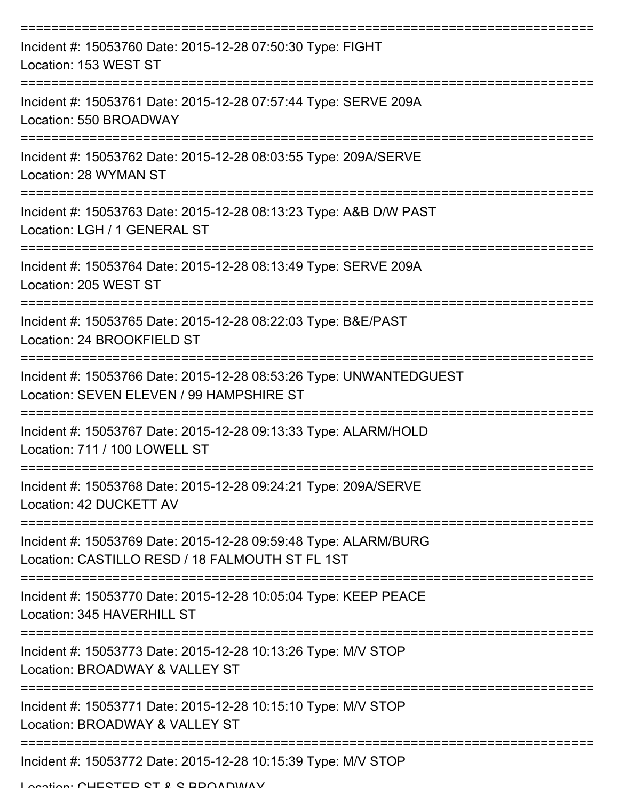| Incident #: 15053760 Date: 2015-12-28 07:50:30 Type: FIGHT<br>Location: 153 WEST ST                                |
|--------------------------------------------------------------------------------------------------------------------|
| Incident #: 15053761 Date: 2015-12-28 07:57:44 Type: SERVE 209A<br>Location: 550 BROADWAY                          |
| Incident #: 15053762 Date: 2015-12-28 08:03:55 Type: 209A/SERVE<br>Location: 28 WYMAN ST                           |
| Incident #: 15053763 Date: 2015-12-28 08:13:23 Type: A&B D/W PAST<br>Location: LGH / 1 GENERAL ST                  |
| Incident #: 15053764 Date: 2015-12-28 08:13:49 Type: SERVE 209A<br>Location: 205 WEST ST                           |
| Incident #: 15053765 Date: 2015-12-28 08:22:03 Type: B&E/PAST<br>Location: 24 BROOKFIELD ST                        |
| Incident #: 15053766 Date: 2015-12-28 08:53:26 Type: UNWANTEDGUEST<br>Location: SEVEN ELEVEN / 99 HAMPSHIRE ST     |
| Incident #: 15053767 Date: 2015-12-28 09:13:33 Type: ALARM/HOLD<br>Location: 711 / 100 LOWELL ST                   |
| Incident #: 15053768 Date: 2015-12-28 09:24:21 Type: 209A/SERVE<br>Location: 42 DUCKETT AV                         |
| Incident #: 15053769 Date: 2015-12-28 09:59:48 Type: ALARM/BURG<br>Location: CASTILLO RESD / 18 FALMOUTH ST FL 1ST |
| Incident #: 15053770 Date: 2015-12-28 10:05:04 Type: KEEP PEACE<br>Location: 345 HAVERHILL ST                      |
| Incident #: 15053773 Date: 2015-12-28 10:13:26 Type: M/V STOP<br>Location: BROADWAY & VALLEY ST                    |
| Incident #: 15053771 Date: 2015-12-28 10:15:10 Type: M/V STOP<br>Location: BROADWAY & VALLEY ST                    |
| Incident #: 15053772 Date: 2015-12-28 10:15:39 Type: M/V STOP                                                      |

Location: CHESTED ST & S BBOADWAY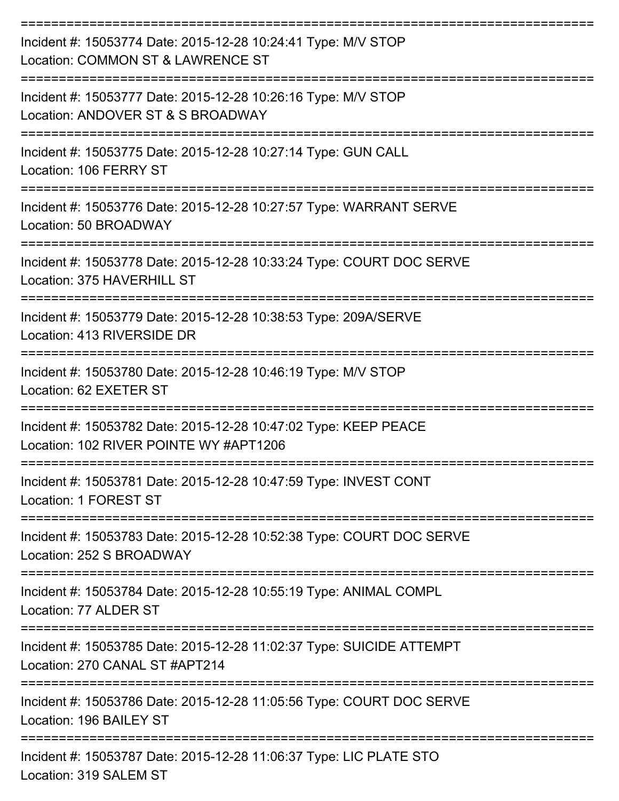| Incident #: 15053774 Date: 2015-12-28 10:24:41 Type: M/V STOP<br>Location: COMMON ST & LAWRENCE ST        |
|-----------------------------------------------------------------------------------------------------------|
| Incident #: 15053777 Date: 2015-12-28 10:26:16 Type: M/V STOP<br>Location: ANDOVER ST & S BROADWAY        |
| Incident #: 15053775 Date: 2015-12-28 10:27:14 Type: GUN CALL<br>Location: 106 FERRY ST                   |
| Incident #: 15053776 Date: 2015-12-28 10:27:57 Type: WARRANT SERVE<br>Location: 50 BROADWAY               |
| Incident #: 15053778 Date: 2015-12-28 10:33:24 Type: COURT DOC SERVE<br>Location: 375 HAVERHILL ST        |
| Incident #: 15053779 Date: 2015-12-28 10:38:53 Type: 209A/SERVE<br>Location: 413 RIVERSIDE DR             |
| Incident #: 15053780 Date: 2015-12-28 10:46:19 Type: M/V STOP<br>Location: 62 EXETER ST                   |
| Incident #: 15053782 Date: 2015-12-28 10:47:02 Type: KEEP PEACE<br>Location: 102 RIVER POINTE WY #APT1206 |
| Incident #: 15053781 Date: 2015-12-28 10:47:59 Type: INVEST CONT<br>Location: 1 FOREST ST                 |
| Incident #: 15053783 Date: 2015-12-28 10:52:38 Type: COURT DOC SERVE<br>Location: 252 S BROADWAY          |
| Incident #: 15053784 Date: 2015-12-28 10:55:19 Type: ANIMAL COMPL<br>Location: 77 ALDER ST                |
| Incident #: 15053785 Date: 2015-12-28 11:02:37 Type: SUICIDE ATTEMPT<br>Location: 270 CANAL ST #APT214    |
| Incident #: 15053786 Date: 2015-12-28 11:05:56 Type: COURT DOC SERVE<br>Location: 196 BAILEY ST           |
| Incident #: 15053787 Date: 2015-12-28 11:06:37 Type: LIC PLATE STO<br>Location: 319 SALEM ST              |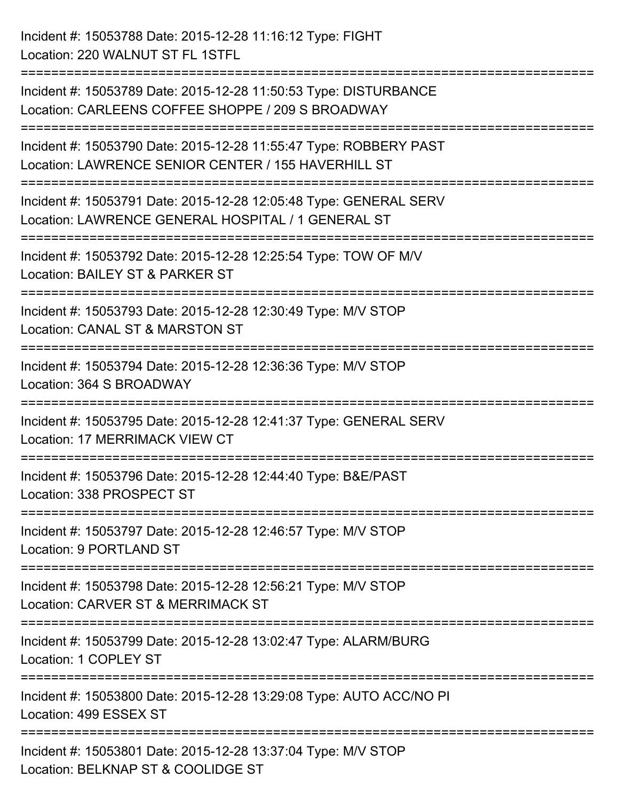| Incident #: 15053788 Date: 2015-12-28 11:16:12 Type: FIGHT<br>Location: 220 WALNUT ST FL 1STFL                                |
|-------------------------------------------------------------------------------------------------------------------------------|
| Incident #: 15053789 Date: 2015-12-28 11:50:53 Type: DISTURBANCE<br>Location: CARLEENS COFFEE SHOPPE / 209 S BROADWAY         |
| Incident #: 15053790 Date: 2015-12-28 11:55:47 Type: ROBBERY PAST<br>Location: LAWRENCE SENIOR CENTER / 155 HAVERHILL ST      |
| Incident #: 15053791 Date: 2015-12-28 12:05:48 Type: GENERAL SERV<br>Location: LAWRENCE GENERAL HOSPITAL / 1 GENERAL ST       |
| Incident #: 15053792 Date: 2015-12-28 12:25:54 Type: TOW OF M/V<br>Location: BAILEY ST & PARKER ST<br>======================= |
| Incident #: 15053793 Date: 2015-12-28 12:30:49 Type: M/V STOP<br>Location: CANAL ST & MARSTON ST                              |
| Incident #: 15053794 Date: 2015-12-28 12:36:36 Type: M/V STOP<br>Location: 364 S BROADWAY                                     |
| Incident #: 15053795 Date: 2015-12-28 12:41:37 Type: GENERAL SERV<br>Location: 17 MERRIMACK VIEW CT                           |
| Incident #: 15053796 Date: 2015-12-28 12:44:40 Type: B&E/PAST<br>Location: 338 PROSPECT ST                                    |
| Incident #: 15053797 Date: 2015-12-28 12:46:57 Type: M/V STOP<br>Location: 9 PORTLAND ST                                      |
| Incident #: 15053798 Date: 2015-12-28 12:56:21 Type: M/V STOP<br>Location: CARVER ST & MERRIMACK ST                           |
| Incident #: 15053799 Date: 2015-12-28 13:02:47 Type: ALARM/BURG<br>Location: 1 COPLEY ST                                      |
| Incident #: 15053800 Date: 2015-12-28 13:29:08 Type: AUTO ACC/NO PI<br>Location: 499 ESSEX ST                                 |
| Incident #: 15053801 Date: 2015-12-28 13:37:04 Type: M/V STOP<br>Location: BELKNAP ST & COOLIDGE ST                           |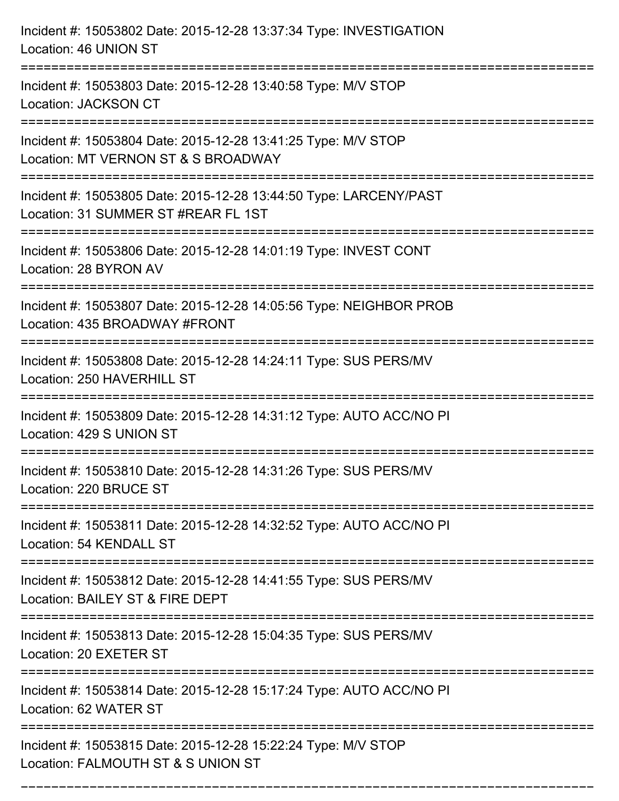| Incident #: 15053802 Date: 2015-12-28 13:37:34 Type: INVESTIGATION<br>Location: 46 UNION ST                                       |
|-----------------------------------------------------------------------------------------------------------------------------------|
| Incident #: 15053803 Date: 2015-12-28 13:40:58 Type: M/V STOP<br>Location: JACKSON CT                                             |
| Incident #: 15053804 Date: 2015-12-28 13:41:25 Type: M/V STOP<br>Location: MT VERNON ST & S BROADWAY<br>:======================== |
| Incident #: 15053805 Date: 2015-12-28 13:44:50 Type: LARCENY/PAST<br>Location: 31 SUMMER ST #REAR FL 1ST                          |
| Incident #: 15053806 Date: 2015-12-28 14:01:19 Type: INVEST CONT<br>Location: 28 BYRON AV                                         |
| Incident #: 15053807 Date: 2015-12-28 14:05:56 Type: NEIGHBOR PROB<br>Location: 435 BROADWAY #FRONT                               |
| Incident #: 15053808 Date: 2015-12-28 14:24:11 Type: SUS PERS/MV<br>Location: 250 HAVERHILL ST                                    |
| Incident #: 15053809 Date: 2015-12-28 14:31:12 Type: AUTO ACC/NO PI<br>Location: 429 S UNION ST                                   |
| Incident #: 15053810 Date: 2015-12-28 14:31:26 Type: SUS PERS/MV<br>Location: 220 BRUCE ST                                        |
| Incident #: 15053811 Date: 2015-12-28 14:32:52 Type: AUTO ACC/NO PI<br>Location: 54 KENDALL ST                                    |
| Incident #: 15053812 Date: 2015-12-28 14:41:55 Type: SUS PERS/MV<br>Location: BAILEY ST & FIRE DEPT                               |
| Incident #: 15053813 Date: 2015-12-28 15:04:35 Type: SUS PERS/MV<br>Location: 20 EXETER ST                                        |
| Incident #: 15053814 Date: 2015-12-28 15:17:24 Type: AUTO ACC/NO PI<br>Location: 62 WATER ST                                      |
| Incident #: 15053815 Date: 2015-12-28 15:22:24 Type: M/V STOP<br>Location: FALMOUTH ST & S UNION ST                               |

===========================================================================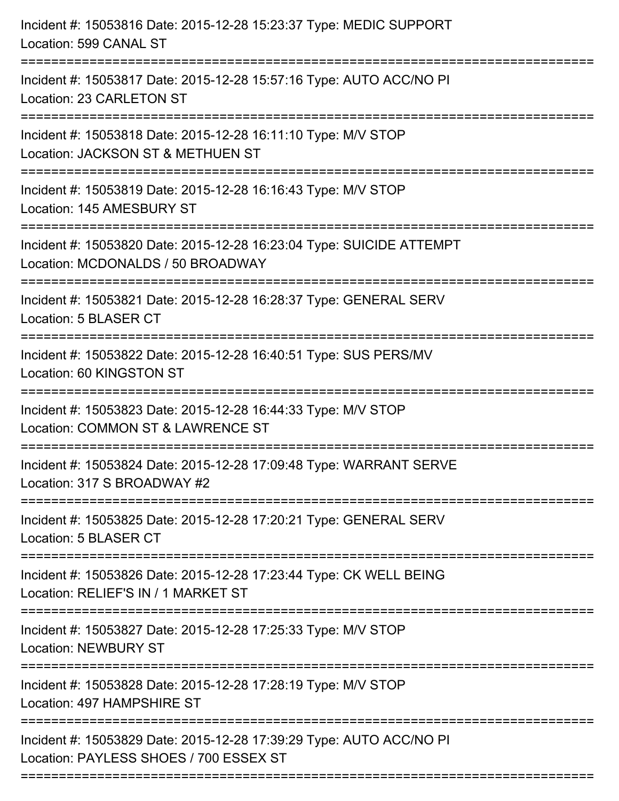| Incident #: 15053816 Date: 2015-12-28 15:23:37 Type: MEDIC SUPPORT<br>Location: 599 CANAL ST                              |
|---------------------------------------------------------------------------------------------------------------------------|
| ======================<br>Incident #: 15053817 Date: 2015-12-28 15:57:16 Type: AUTO ACC/NO PI<br>Location: 23 CARLETON ST |
| Incident #: 15053818 Date: 2015-12-28 16:11:10 Type: M/V STOP<br>Location: JACKSON ST & METHUEN ST<br>:================== |
| Incident #: 15053819 Date: 2015-12-28 16:16:43 Type: M/V STOP<br>Location: 145 AMESBURY ST                                |
| Incident #: 15053820 Date: 2015-12-28 16:23:04 Type: SUICIDE ATTEMPT<br>Location: MCDONALDS / 50 BROADWAY                 |
| Incident #: 15053821 Date: 2015-12-28 16:28:37 Type: GENERAL SERV<br>Location: 5 BLASER CT                                |
| Incident #: 15053822 Date: 2015-12-28 16:40:51 Type: SUS PERS/MV<br>Location: 60 KINGSTON ST                              |
| Incident #: 15053823 Date: 2015-12-28 16:44:33 Type: M/V STOP<br>Location: COMMON ST & LAWRENCE ST                        |
| Incident #: 15053824 Date: 2015-12-28 17:09:48 Type: WARRANT SERVE<br>Location: 317 S BROADWAY #2                         |
| Incident #: 15053825 Date: 2015-12-28 17:20:21 Type: GENERAL SERV<br>Location: 5 BLASER CT                                |
| Incident #: 15053826 Date: 2015-12-28 17:23:44 Type: CK WELL BEING<br>Location: RELIEF'S IN / 1 MARKET ST                 |
| Incident #: 15053827 Date: 2015-12-28 17:25:33 Type: M/V STOP<br><b>Location: NEWBURY ST</b>                              |
| Incident #: 15053828 Date: 2015-12-28 17:28:19 Type: M/V STOP<br>Location: 497 HAMPSHIRE ST                               |
| Incident #: 15053829 Date: 2015-12-28 17:39:29 Type: AUTO ACC/NO PI<br>Location: PAYLESS SHOES / 700 ESSEX ST             |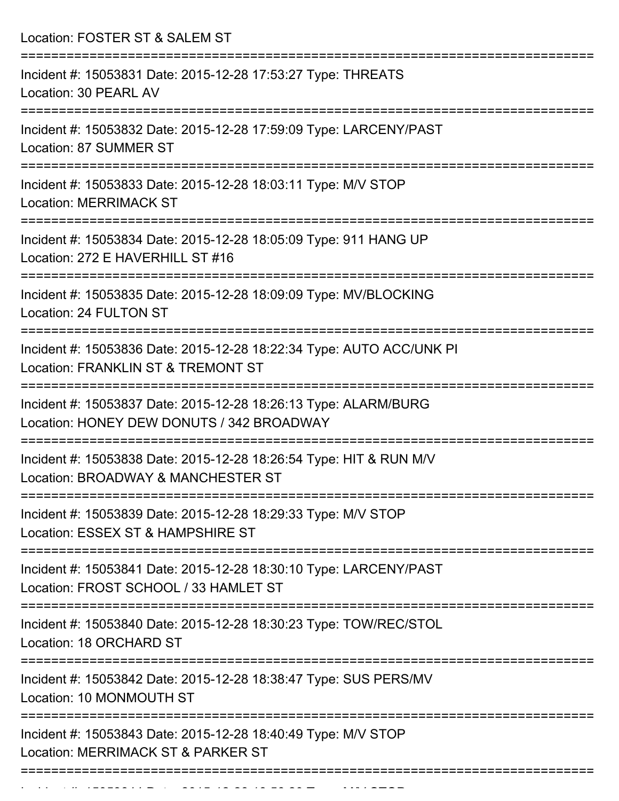Location: FOSTER ST & SALEM ST

| Incident #: 15053831 Date: 2015-12-28 17:53:27 Type: THREATS<br>Location: 30 PEARL AV                        |
|--------------------------------------------------------------------------------------------------------------|
| Incident #: 15053832 Date: 2015-12-28 17:59:09 Type: LARCENY/PAST<br>Location: 87 SUMMER ST                  |
| Incident #: 15053833 Date: 2015-12-28 18:03:11 Type: M/V STOP<br><b>Location: MERRIMACK ST</b>               |
| Incident #: 15053834 Date: 2015-12-28 18:05:09 Type: 911 HANG UP<br>Location: 272 E HAVERHILL ST #16         |
| Incident #: 15053835 Date: 2015-12-28 18:09:09 Type: MV/BLOCKING<br>Location: 24 FULTON ST                   |
| Incident #: 15053836 Date: 2015-12-28 18:22:34 Type: AUTO ACC/UNK PI<br>Location: FRANKLIN ST & TREMONT ST   |
| Incident #: 15053837 Date: 2015-12-28 18:26:13 Type: ALARM/BURG<br>Location: HONEY DEW DONUTS / 342 BROADWAY |
| Incident #: 15053838 Date: 2015-12-28 18:26:54 Type: HIT & RUN M/V<br>Location: BROADWAY & MANCHESTER ST     |
| Incident #: 15053839 Date: 2015-12-28 18:29:33 Type: M/V STOP<br>Location: ESSEX ST & HAMPSHIRE ST           |
| Incident #: 15053841 Date: 2015-12-28 18:30:10 Type: LARCENY/PAST<br>Location: FROST SCHOOL / 33 HAMLET ST   |
| Incident #: 15053840 Date: 2015-12-28 18:30:23 Type: TOW/REC/STOL<br>Location: 18 ORCHARD ST                 |
| Incident #: 15053842 Date: 2015-12-28 18:38:47 Type: SUS PERS/MV<br>Location: 10 MONMOUTH ST                 |
| Incident #: 15053843 Date: 2015-12-28 18:40:49 Type: M/V STOP<br>Location: MERRIMACK ST & PARKER ST          |
|                                                                                                              |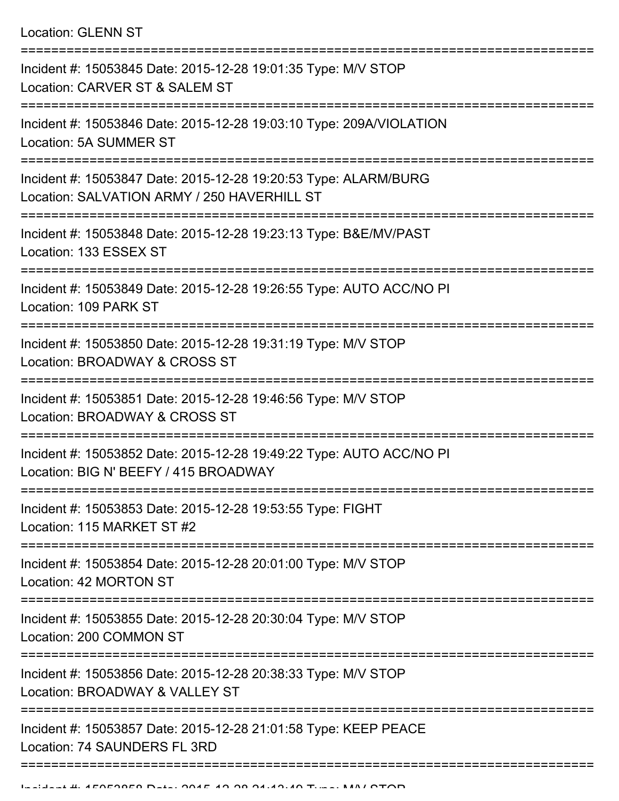Location: GLENN ST

| Incident #: 15053845 Date: 2015-12-28 19:01:35 Type: M/V STOP<br>Location: CARVER ST & SALEM ST                |
|----------------------------------------------------------------------------------------------------------------|
| Incident #: 15053846 Date: 2015-12-28 19:03:10 Type: 209A/VIOLATION<br>Location: 5A SUMMER ST                  |
| Incident #: 15053847 Date: 2015-12-28 19:20:53 Type: ALARM/BURG<br>Location: SALVATION ARMY / 250 HAVERHILL ST |
| Incident #: 15053848 Date: 2015-12-28 19:23:13 Type: B&E/MV/PAST<br>Location: 133 ESSEX ST                     |
| Incident #: 15053849 Date: 2015-12-28 19:26:55 Type: AUTO ACC/NO PI<br>Location: 109 PARK ST                   |
| Incident #: 15053850 Date: 2015-12-28 19:31:19 Type: M/V STOP<br>Location: BROADWAY & CROSS ST                 |
| Incident #: 15053851 Date: 2015-12-28 19:46:56 Type: M/V STOP<br>Location: BROADWAY & CROSS ST                 |
| Incident #: 15053852 Date: 2015-12-28 19:49:22 Type: AUTO ACC/NO PI<br>Location: BIG N' BEEFY / 415 BROADWAY   |
| Incident #: 15053853 Date: 2015-12-28 19:53:55 Type: FIGHT<br>Location: 115 MARKET ST #2                       |
| Incident #: 15053854 Date: 2015-12-28 20:01:00 Type: M/V STOP<br>Location: 42 MORTON ST                        |
| Incident #: 15053855 Date: 2015-12-28 20:30:04 Type: M/V STOP<br>Location: 200 COMMON ST                       |
| Incident #: 15053856 Date: 2015-12-28 20:38:33 Type: M/V STOP<br>Location: BROADWAY & VALLEY ST                |
| Incident #: 15053857 Date: 2015-12-28 21:01:58 Type: KEEP PEACE<br>Location: 74 SAUNDERS FL 3RD                |
|                                                                                                                |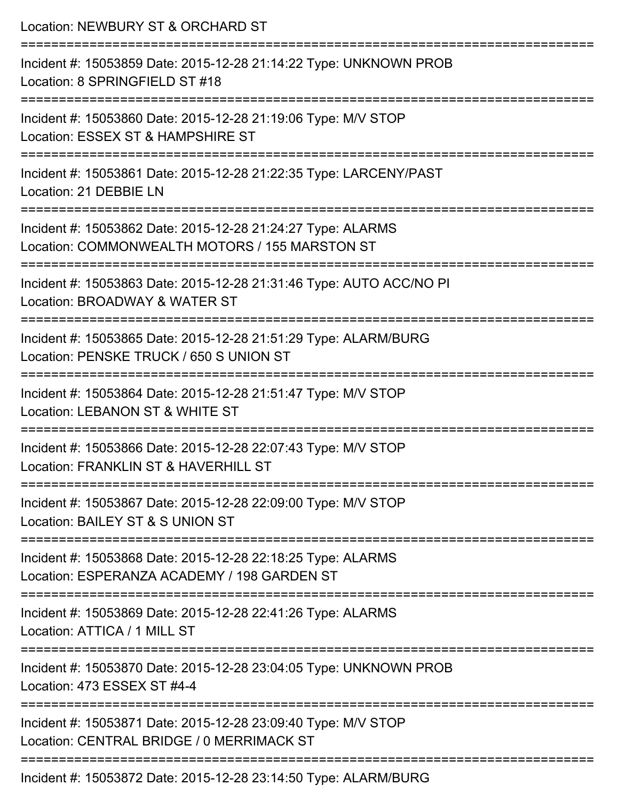| Location: NEWBURY ST & ORCHARD ST                                                                                          |
|----------------------------------------------------------------------------------------------------------------------------|
| Incident #: 15053859 Date: 2015-12-28 21:14:22 Type: UNKNOWN PROB<br>Location: 8 SPRINGFIELD ST #18<br>.================== |
| Incident #: 15053860 Date: 2015-12-28 21:19:06 Type: M/V STOP<br>Location: ESSEX ST & HAMPSHIRE ST                         |
| Incident #: 15053861 Date: 2015-12-28 21:22:35 Type: LARCENY/PAST<br>Location: 21 DEBBIE LN                                |
| Incident #: 15053862 Date: 2015-12-28 21:24:27 Type: ALARMS<br>Location: COMMONWEALTH MOTORS / 155 MARSTON ST              |
| Incident #: 15053863 Date: 2015-12-28 21:31:46 Type: AUTO ACC/NO PI<br>Location: BROADWAY & WATER ST                       |
| Incident #: 15053865 Date: 2015-12-28 21:51:29 Type: ALARM/BURG<br>Location: PENSKE TRUCK / 650 S UNION ST                 |
| Incident #: 15053864 Date: 2015-12-28 21:51:47 Type: M/V STOP<br>Location: LEBANON ST & WHITE ST                           |
| Incident #: 15053866 Date: 2015-12-28 22:07:43 Type: M/V STOP<br>Location: FRANKLIN ST & HAVERHILL ST                      |
| Incident #: 15053867 Date: 2015-12-28 22:09:00 Type: M/V STOP<br>Location: BAILEY ST & S UNION ST                          |
| Incident #: 15053868 Date: 2015-12-28 22:18:25 Type: ALARMS<br>Location: ESPERANZA ACADEMY / 198 GARDEN ST                 |
| Incident #: 15053869 Date: 2015-12-28 22:41:26 Type: ALARMS<br>Location: ATTICA / 1 MILL ST                                |
| Incident #: 15053870 Date: 2015-12-28 23:04:05 Type: UNKNOWN PROB<br>Location: 473 ESSEX ST #4-4                           |
| Incident #: 15053871 Date: 2015-12-28 23:09:40 Type: M/V STOP<br>Location: CENTRAL BRIDGE / 0 MERRIMACK ST                 |
| Incident #: 15053872 Date: 2015-12-28 23:14:50 Type: ALARM/BURG                                                            |